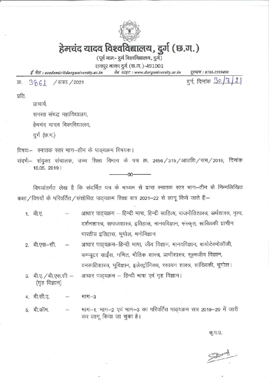

# हेमचंद यादव विश्वविद्यालय, दुर्ग (छ.ग.)

(पूर्व नाम- दुर्ग विश्वविद्यालय, दुर्ग)

रायपुर नाका दुर्ग (छ.ग.)-491001

ई मेल: academic@durguniversity.ac.in वेब साइट: www.durguniversity.ac.in दूरभाष: 0788-2359400

3861 / अंका. / 2021 क्र.

दर्ग, दिनांक So/7/21

प्रति.

प्राचार्य.

समस्त संबद्ध महाविद्यालय,

हेमचंद यादव विश्वविद्यालय.

दुर्ग (छ.ग.)

विषयः- स्नातक स्तर भाग-तीन के पाठ्यक्रम विषयक।

संदर्भ:- संयुक्त संचालक, उच्च शिक्षा विभाग के पत्र क्र. 2456 / 315 / आउशि / सम / 2019, दिनांक 16.05. 2019 |

nn

विषयांतर्गत लेख है कि संदर्भित पत्र के माध्यम से प्राप्त स्नातक स्तर भाग-तीन के निम्नलिखित कक्षा/विषयों के परिवर्तित/संशोधित पाठ्यक्रम शिक्षा सत्र 2021-22 से लागू किये जाते हैं:-

- आधार पाठ्यक्रम हिन्दी भाषा, हिन्दी साहित्य, राजनीतिशास्त्र, अर्थशास्त्र, नृत्य, 1. बी.ए. दर्शनशास्त्र, समाजशास्त्र, इतिहास, मानवविज्ञान, संस्कृत, सांख्यिकी प्राचीन भारतीय इतिहास, भूगोल, मनोविज्ञान
- आधार पाठ्यक्रम-हिन्दी भाषा, जीव विज्ञान, मानवविज्ञान, बायोटेक्नोलॉजी, 2. बी.एस-सी. कम्प्यूटर साईंस, गणित, भौतिक शास्त्र, प्राणीशास्त्र, सूक्ष्मजीव विज्ञान, वनस्पतिशास्त्र, भूविज्ञान, इलेक्ट्रॉनिक्स, रसायन शास्त्र, सांख्यिकी, भूगोल।
- आधार पाठ्यक्रम हिन्दी भाषा एवं गृह विज्ञान। 3. बी.ए. / बी.एस.सी -(गृह विज्ञान)
- 4. बी.सी.ए. भाग $-3$
- भाग-1, भाग-2 एवं भाग-3 का परिवर्तित पाठ्यक्रम सत्र 2019-20 में जारी 5. बी.कॉम. कर लागू किया जा चुका है।

कृ.प.उ.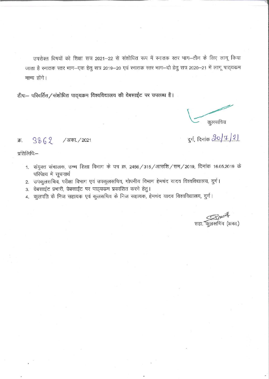उपरोक्त विषयों को शिक्षा सत्र 2021-22 से संशोधित रूप में स्नातक स्तर भाग-तीन के लिए लागू किया जाता है स्नातक स्तर भाग–एक हेतु सत्र 2019–20 एवं स्नातक स्तर भाग–दो हेतु सत्र 2020–21 में लागू पाठ्यक्रम मान्य होंगे।

टीप:- परिवर्तित / संशोधित पाठ्यक्रम विश्वविद्यालय की वेबसाईट पर उपलब्ध है।

कुलसचिव

दुर्ग, दिनांक <u>20/1/2)</u>

#### $3862$  /अका./2021 क्र.

प्रतिलिपिः—

- 1. संयुक्त संचालक, उच्च शिक्षा विभाग के पत्र क्र. 2456 / 315 / आउशि / सम / 2019, दिनांक 16.05.2019 के परिपेक्ष्य में सूचनार्थ
- 2. उपकुलसचिव, परीक्षा विभाग एवं उपकुलसचिव, गोपनीय विभाग हेमचंद यादव विश्वविद्यालय, दुर्ग।
- 3. वेबसाईट प्रभारी, वेबसाईट पर पाठ्यकम प्रकाशित करने हेतु।
- 4. कुलपति के निज सहायक एवं कुलसचिव के निज सहायक, हेमचंद यादव विश्वविद्यालय, दुर्ग।

सहा. कुलसचिव (अका.)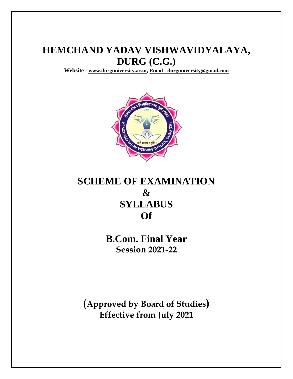# **HEMCHAND YADAV VISHWAVIDYALAYA, DURG (C.G.)**

**Website - [www.durguniversity.ac.in](http://www.durguniversity.ac.in/), Email - [durguniversity@gmail.com](mailto:Email%20-%20durguniversity@gmail.com)**



# **SCHEME OF EXAMINATION & SYLLABUS Of**

**B.Com. Final Year Session 2021-22**

**(Approved by Board of Studies) Effective from July 2021**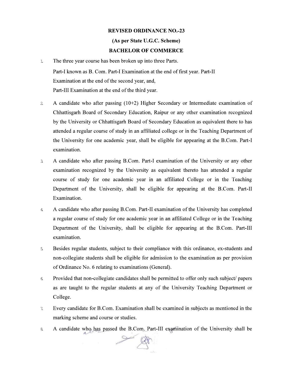#### **REVISED ORDINANCE NO.-23**

## (As per State U.G.C. Scheme)

## **BACHELOR OF COMMERCE**

- $1\overline{ }$ The three year course has been broken up into three Parts. Part-I known as B. Com. Part-I Examination at the end of first year. Part-II Examination at the end of the second year, and, Part-III Examination at the end of the third year.
- A candidate who after passing  $(10+2)$  Higher Secondary or Intermediate examination of  $\overline{2}$ Chhattisgarh Board of Secondary Education, Raipur or any other examination recognized by the University or Chhattisgarh Board of Secondary Education as equivalent there to has attended a regular course of study in an affiliated college or in the Teaching Department of the University for one academic year, shall be eligible for appearing at the B.Com. Part-I examination.
- A candidate who after passing B.Com. Part-I examination of the University or any other  $\mathfrak{Z}$ examination recognized by the University as equivalent thereto has attended a regular course of study for one academic year in an affiliated College or in the Teaching Department of the University, shall be eligible for appearing at the B.Com. Part-II Examination.
- A candidate who after passing B.Com. Part-II examination of the University has completed  $\overline{4}$ a regular course of study for one academic year in an affiliated College or in the Teaching Department of the University, shall be eligible for appearing at the B.Com. Part-III examination.
- Besides regular students, subject to their compliance with this ordinance, ex-students and  $5$ non-collegiate students shall be eligible for admission to the examination as per provision of Ordinance No. 6 relating to examinations (General).
- Provided that non-collegiate candidates shall be permitted to offer only such subject/ papers  $6 \overline{6}$ as are taught to the regular students at any of the University Teaching Department or College.
- Every candidate for B.Com. Examination shall be examined in subjects as mentioned in the  $7.$ marking scheme and course or studies.
- A candidate who has passed the B.Com. Part-III examination of the University shall be  $8$

 $\rightarrow$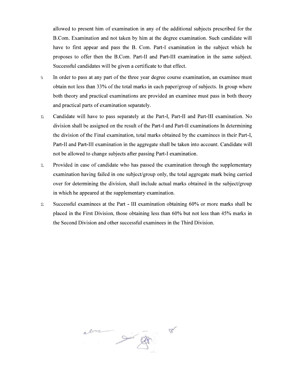allowed to present him of examination in any of the additional subjects prescribed for the B.Com. Examination and not taken by him at the degree examination. Such candidate will have to first appear and pass the B. Com. Part-I examination in the subject which he proposes to offer then the B.Com. Part-II and Part-III examination in the same subject. Successful candidates will be given a certificate to that effect.

- In order to pass at any part of the three year degree course examination, an examinee must  $\mathfrak{A}$ obtain not less than 33% of the total marks in each paper/group of subjects. In group where both theory and practical examinations are provided an examinee must pass in both theory and practical parts of examination separately.
- $\mathbbm{D}$ Candidate will have to pass separately at the Part-I, Part-II and Part-III examination. No division shall be assigned on the result of the Part-I and Part-II examinations In determining the division of the Final examination, total marks obtained by the examinees in their Part-I, Part-II and Part-III examination in the aggregate shall be taken into account. Candidate will not be allowed to change subjects after passing Part-I examination.
- $\mathbbm{1}.$ Provided in case of candidate who has passed the examination through the supplementary examination having failed in one subject/group only, the total aggregate mark being carried over for determining the division, shall include actual marks obtained in the subject/group in which he appeared at the supplementary examination.
- Successful examinees at the Part III examination obtaining 60% or more marks shall be  $\mathcal{D}$ placed in the First Division, those obtaining less than 60% but not less than 45% marks in the Second Division and other successful examinees in the Third Division.

alon gift  $7<sup>6</sup>$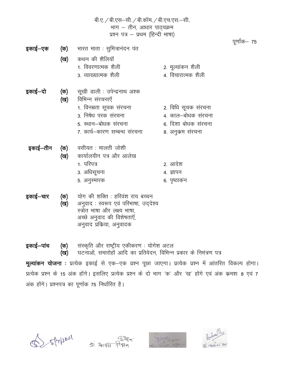|          |            | बी.ए. / बी.एस—सी. / बी.कॉम. / बी.एच.एस.—सी.<br>भाग – तीन, आधार पाठ्यक्रम<br>प्रश्न पत्र - प्रथम (हिन्दी भाषा)                                                     |                                                                                     |              |  |  |
|----------|------------|-------------------------------------------------------------------------------------------------------------------------------------------------------------------|-------------------------------------------------------------------------------------|--------------|--|--|
| इकाई–एक  | (ख)        | <b>(क)</b> भारत माता : सुमित्रानंदन पंत<br>कथन की शैलियॉ<br>1. विवरणात्मक शैली<br>3. व्याख्यात्मक शैली                                                            | 2. मूल्यांकन शैली<br>4. विचारात्मक शैली                                             | पूर्णांक— 75 |  |  |
| इकाई—दो  | (क)<br>(ख) | सूखी डाली : उपेन्द्रनाथ अश्क<br>विभिन्न संरचनाएँ<br>1. विनम्रता सूचक संरचना<br>3. निषेध परक संरचना<br>5. स्थान–बोधक संरचना<br>7. कार्य-कारण सम्बन्ध संरचना        | 2. विधि सूचक संरचना<br>4. काल-बोधक संरचना<br>6. दिशा बोधक संरचना<br>8. अनुकम संरचना |              |  |  |
| इकाई–तीन | (क)<br>(ख) | वसीयत ः मालती जोशी<br>कार्यालयीन पत्र और आलेख<br>1. परिपत्र<br>3. अधिसूचना<br>5. अनुस्मारक                                                                        | 2. आदेश<br>4. ज्ञापन<br>6. पृष्ठाकंन                                                |              |  |  |
| इकाई–चार | (क)<br>(ख) | योग की शक्ति : हरिवंश राय बच्चन<br>अनुवाद : स्वरूप एवं परिभाषा, उद्देश्य<br>स्त्रोत भाषा और लक्ष्य भाषा,<br>अच्छे अनुवाद की विशेषताएँ,<br>अनुवाद प्रकिया, अनुवादक |                                                                                     |              |  |  |

संस्कृति और राष्ट्रीय एकीकरण : योगेश अटल<br>घटनाओं, समारोहों आदि का प्रतिवेदन, विभिन्न प्रकार के निमंत्रण पत्र इकाई–पांच (क) (ख)

मूल्यांकन योजना : प्रत्येक इकाई से एक-एक प्रश्न पूछा जाएगा। प्रत्येक प्रश्न में आंतरित विकल्प होगा। प्रत्येक प्रश्न के 15 अंक होंगे। इसलिए प्रत्येक प्रश्न के दो भाग 'क' और 'ख' होंगे एवं अंक कमशः 8 एवं 7 अंक होंगे। प्रश्नपत्र का पूर्णाक 75 निर्धारित है।







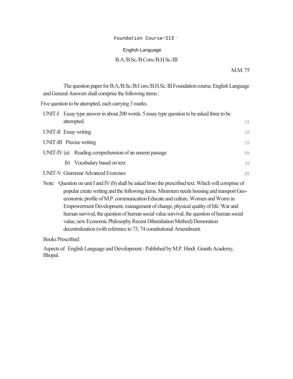#### Foundation Course-III<sup>-</sup>

## English Language **Code-1152**

# Foundation Course=III<br>English Language<br>B.A./B.Sc./B.Com./B.H.Sc./III<br>MM 75 B.A./B.Sc./B.Com./B.H.Sc./III

#### M.M. 75

| Foundation Course-III 1                                                                                                                                                                                                                                                                                                                                                 |        |  |  |  |  |
|-------------------------------------------------------------------------------------------------------------------------------------------------------------------------------------------------------------------------------------------------------------------------------------------------------------------------------------------------------------------------|--------|--|--|--|--|
| English Language                                                                                                                                                                                                                                                                                                                                                        |        |  |  |  |  |
| B.A./B.Sc./B.Com./B.H.Sc./III                                                                                                                                                                                                                                                                                                                                           |        |  |  |  |  |
|                                                                                                                                                                                                                                                                                                                                                                         | M.M.75 |  |  |  |  |
| The question paper for B.A./B.Sc./B.Com./B.H.Sc. III Foundation course, English Language<br>and General Answers shall comprise the following items:                                                                                                                                                                                                                     |        |  |  |  |  |
| Five question to be attempted, each carrying 3 marks.                                                                                                                                                                                                                                                                                                                   |        |  |  |  |  |
| UNIT-I Essay type answer in about 200 words. 5 essay type question to be asked three to be                                                                                                                                                                                                                                                                              |        |  |  |  |  |
| attempted.                                                                                                                                                                                                                                                                                                                                                              | 15     |  |  |  |  |
| UNIT-II Essay writing                                                                                                                                                                                                                                                                                                                                                   | 10     |  |  |  |  |
| UNIT-III Precise writing                                                                                                                                                                                                                                                                                                                                                | 10     |  |  |  |  |
| UNIT-IV (a) Reading comprehension of an unseen passage                                                                                                                                                                                                                                                                                                                  | 05     |  |  |  |  |
| Vocabulary based on text<br>(b)                                                                                                                                                                                                                                                                                                                                         | 10     |  |  |  |  |
| <b>UNIT-V Grammar Advanced Exercises</b>                                                                                                                                                                                                                                                                                                                                | 25     |  |  |  |  |
| Question on unit I and IV (b) shall be asked from the prescribed text. Which will comprise of<br>Note:<br>popular create writing and the following items. Minimum needs housing and transport Geo-<br>economic profile of M.P. communication Educate and culture. Women and Worm in<br>Empowerment Development, management of change, physical quality of life. War and |        |  |  |  |  |
| human survival, the question of human social value survival, the question of human social                                                                                                                                                                                                                                                                               |        |  |  |  |  |

popular create writing and the following items. Minimum needs housing and transport Geoeconomic profile of M.P. communication Educate and culture. Women and Worm in Empowerment Development, management of change, physical quality of life. War and human survival, the question of human social value survival, the question of human social value, new Economic Philosophy Recent Diberaliation Method) Demoration decentralization (with reference to 73, 74 constitutional Amendment.

Books Prescribed:

Aspects of English Language and Development - Published by M.P. Hindi Granth Academy, Bhopal.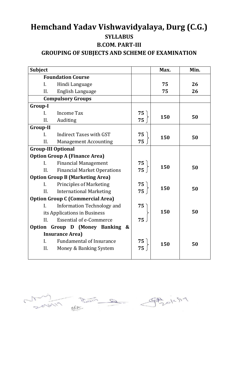# **Hemchand Yadav Vishwavidyalaya, Durg (C.G.) SYLLABUS B.COM. PART-III GROUPING OF SUBJECTS AND SCHEME OF EXAMINATION**

| <b>Subject</b>  |                                             |    | Max. | Min. |
|-----------------|---------------------------------------------|----|------|------|
|                 | <b>Foundation Course</b>                    |    |      |      |
| L.              | Hindi Language                              |    | 75   | 26   |
| II.             | English Language                            |    | 75   | 26   |
|                 | <b>Compulsory Groups</b>                    |    |      |      |
| <b>Group-I</b>  |                                             |    |      |      |
| $\mathbf{I}$ .  | <b>Income Tax</b>                           | 75 |      |      |
| II.             | Auditing                                    | 75 | 150  | 50   |
| <b>Group-II</b> |                                             |    |      |      |
| $\mathbf{I}$ .  | <b>Indirect Taxes with GST</b>              | 75 | 150  | 50   |
| II.             | <b>Management Accounting</b>                | 75 |      |      |
|                 | <b>Group-III Optional</b>                   |    |      |      |
|                 | <b>Option Group A (Finance Area)</b>        |    |      |      |
| $\mathbf{I}$ .  | <b>Financial Management</b>                 | 75 | 150  |      |
| II.             | <b>Financial Market Operations</b>          | 75 |      | 50   |
|                 | <b>Option Group B (Marketing Area)</b>      |    |      |      |
| I.              | <b>Principles of Marketing</b>              | 75 | 150  |      |
| II.             | <b>International Marketing</b>              | 75 |      | 50   |
|                 | <b>Option Group C (Commercial Area)</b>     |    |      |      |
| I.              | Information Technology and                  | 75 |      |      |
|                 | its Applications in Business                |    | 150  | 50   |
| II.             | <b>Essential of e-Commerce</b>              | 75 |      |      |
| Option          | Group D (Money Banking<br>$\boldsymbol{\&}$ |    |      |      |
|                 | <b>Insurance Area)</b>                      |    |      |      |
| $\mathbf{I}$ .  | <b>Fundamental of Insurance</b>             | 75 | 150  | 50   |
| II.             | Money & Banking System                      | 75 |      |      |
|                 |                                             |    |      |      |

sovering the Brother of Copy of the SIM  $\subset$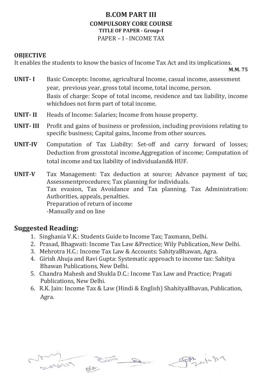## **B.COM PART III COMPULSORY CORE COURSE TITLE OF PAPER - Group-I**  PAPER – I - INCOME TAX

## **OBJECTIVE**

It enables the students to know the basics of Income Tax Act and its implications.

**M.M. 75**

- **UNIT- I** Basic Concepts: Income, agricultural Income, casual income, assessment year, previous year, gross total income, total income, person. Basis of charge: Scope of total income, residence and tax liability, income whichdoes not form part of total income.
- **UNIT- II** Heads of Income: Salaries; Income from house property.
- **UNIT- III** Profit and gains of business or profession, including provisions relating to specific business; Capital gains, Income from other sources.
- **UNIT-IV** Computation of Tax Liabilty: Set-off and carry forward of losses; Deduction from grosstotal income.Aggregation of income; Computation of total income and tax liability of individualand& HUF.
- **UNIT-V** Tax Management: Tax deduction at source; Advance payment of tax; Assessmentprocedures; Tax planning for individuals. Tax evasion, Tax Avoidance and Tax planning. Tax Administration: Authorities, appeals, penalties. Preparation of return of income -Manually and on line

- 1. Singhania V.K.: Students Guide to Income Tax; Taxmann, Delhi.
- 2. Prasad, Bhagwati: Income Tax Law &Prectice; Wily Publication, New Delhi.
- 3. Mehrotra H.C.: Income Tax Law & Accounts: SahityaBhawan, Agra.
- 4. Girish Ahuja and Ravi Gupta: Systematic approach to income tax: Sahitya Bhawan Publications, New Delhi.
- 5. Chandra Mahesh and Shukla D.C.: Income Tax Law and Practice; Pragati Publications, New Delhi.
- 6. R.K. Jain: Income Tax & Law (Hindi & English) ShahityaBhavan, Publication, Agra.



PAZOLLSIA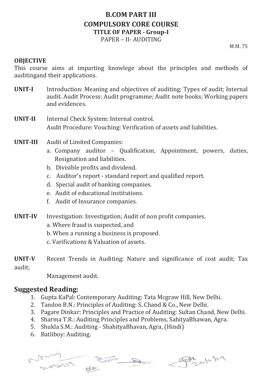# **B.COM PART III COMPULSORY CORE COURSE TITLE OF PAPER - Group-I**  PAPER – II- AUDITING

M.M. 75

## **OBJECTIVE**

This course aims at imparting knowlege about the principles and methods of auditingand their applications.

- **UNIT-I** Introduction: Meaning and objectives of auditing; Types of audit; Internal audit. Audit Process: Audit programme; Audit note books; Working papers and evidences.
- **UNIT-II** Internal Check System: Internal control. Audit Procedure: Vouching: Verification of assets and liabilities.
- **UNIT-III** Audit of Limited Companies:
	- a. Company auditor Qualification, Appointment, powers, duties, Resignation and liabilities.
	- b. Divisible profits and dividend.
	- c. Auditor's report standard report and qualified report.
	- d. Special audit of banking companies.
	- e. Audit of educational institutions.
	- f. Audit of Insurance companies.
- **UNIT-IV** Investigation: Investigation; Audit of non profit companies,
	- a. Where fraud is suspected, and
	- b. When a running a business is proposed.
	- c. Varifications & Valuation of assets.
- **UNIT-V** Recent Trends in Auditing: Nature and significance of cost audit; Tax audit;

Management audit.

- 1. Gupta KaPal: Contemporary Auditing: Tata Mcgraw Hill, New Delhi.
- 2. Tandon B.N.: Principles of Auditing: S. Chand & Co., New Delhi.
- 3. Pagare Dinkar: Principles and Practice of Auditing: Sultan Chand, New Delhi.
- 4. Sharma T.R.: Auditing Principles and Problems, SahityaBhawan, Agra.
- 5. Shukla S.M.: Auditing ShahityaBhavan, Agra, (Hindi)
- 6. Batliboy: Auditing.

 $\mathscr{D}$ 

Spot 1-519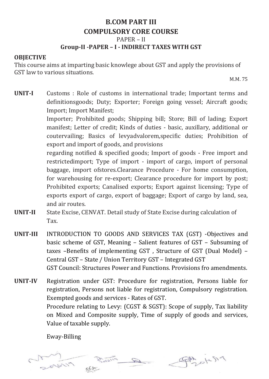# **B.COM PART III COMPULSORY CORE COURSE**  PAPER – II **Group-II -PAPER – I - INDIRECT TAXES WITH GST**

## **OBJECTIVE**

This course aims at imparting basic knowlege about GST and apply the provisions of GST law to various situations.

M.M. 75

**UNIT-I** Customs : Role of customs in international trade; Important terms and definitionsgoods; Duty; Exporter; Foreign going vessel; Aircraft goods; Import; Import Manifest;

> Importer; Prohibited goods; Shipping bill; Store; Bill of lading; Export manifest; Letter of credit; Kinds of duties - basic, auxillary, additional or coutervailing; Basics of levyadvalorem,specific duties; Prohibition of export and import of goods, and provisions

> regarding notified & specified goods; Import of goods - Free import and restrictedimport; Type of import - import of cargo, import of personal baggage, import ofstores.Clearance Procedure - For home consumption, for warehousing for re-export; Clearance procedure for import by post; Prohibited exports; Canalised exports; Export against licensing; Type of exports export of cargo, export of baggage; Export of cargo by land, sea, and air routes.

- **UNIT-II** State Excise, CENVAT. Detail study of State Excise during calculation of Tax.
- **UNIT-III** INTRODUCTION TO GOODS AND SERVICES TAX (GST) -Objectives and basic scheme of GST, Meaning – Salient features of GST – Subsuming of taxes –Benefits of implementing GST , Structure of GST (Dual Model) – Central GST – State / Union Territory GST – Integrated GST GST Council: Structures Power and Functions. Provisions fro amendments.

**UNIT-IV** Registration under GST: Procedure for registration, Persons liable for registration, Persons not liable for registration, Compulsory registration. Exempted goods and services - Rates of GST. Procedure relating to Levy: (CGST & SGST): Scope of supply, Tax liability on Mixed and Composite supply, Time of supply of goods and services, Value of taxable supply.

Eway-Billing

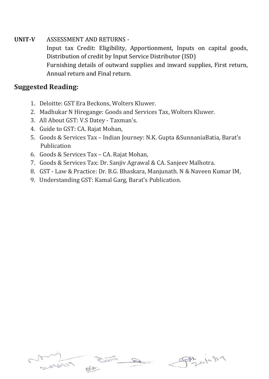## **UNIT-V** ASSESSMENT AND RETURNS -

Input tax Credit: Eligibility, Apportionment, Inputs on capital goods, Distribution of credit by Input Service Distributor (ISD) Furnishing details of outward supplies and inward supplies, First return, Annual return and Final return.

- 1. Deloitte: GST Era Beckons, Wolters Kluwer.
- 2. Madhukar N Hiregange: Goods and Services Tax, Wolters Kluwer.
- 3. All About GST: V.S Datey Taxman's.
- 4. Guide to GST: CA. Rajat Mohan,
- 5. Goods & Services Tax Indian Journey: N.K. Gupta &SunnaniaBatia, Barat's Publication
- 6. Goods & Services Tax CA. Rajat Mohan,
- 7. Goods & Services Tax: Dr. Sanjiv Agrawal & CA. Sanjeev Malhotra.
- 8. GST Law & Practice: Dr. B.G. Bhaskara, Manjunath. N & Naveen Kumar IM,
- 9. Understanding GST: Kamal Garg, Barat's Publication.

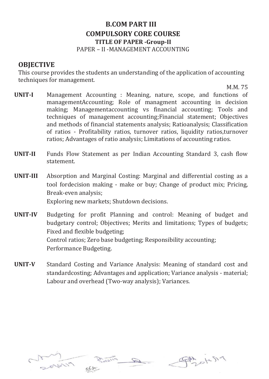# **B.COM PART III COMPULSORY CORE COURSE TITLE OF PAPER -Group-II**  PAPER – II -MANAGEMENT ACCOUNTING

# **OBJECTIVE**

This course provides the students an understanding of the application of accounting techniques for management.

M.M. 75

- **UNIT-I** Management Accounting : Meaning, nature, scope, and functions of managementAccounting; Role of managment accounting in decision making; Managementaccounting vs financial accounting; Tools and techniques of management accounting;Financial statement; Objectives and methods of financial statements analysis; Ratioanalysis; Classification of ratios - Profitability ratios, turnover ratios, liquidity ratios,turnover ratios; Advantages of ratio analysis; Limitations of accounting ratios.
- **UNIT-II** Funds Flow Statement as per Indian Accounting Standard 3, cash flow statement.
- **UNIT-III** Absorption and Marginal Costing: Marginal and differential costing as a tool fordecision making - make or buy; Change of product mix; Pricing, Break-even analysis; Exploring new markets; Shutdown decisions.
- **UNIT-IV** Budgeting for profit Planning and control: Meaning of budget and budgetary control; Objectives; Merits and limitations; Types of budgets; Fixed and flexible budgeting; Control ratios; Zero base budgeting; Responsibility accounting; Performance Budgeting.
- **UNIT-V** Standard Costing and Variance Analysis: Meaning of standard cost and standardcosting; Advantages and application; Variance analysis - material; Labour and overhead (Two-way analysis); Variances.



PAS 14519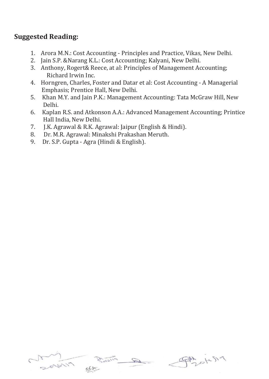- 1. Arora M.N.: Cost Accounting Principles and Practice, Vikas, New Delhi.
- 2. Jain S.P. &Narang K.L.: Cost Accounting; Kalyani, New Delhi.
- 3. Anthony, Rogert& Reece, at al: Principles of Management Accounting; Richard Irwin Inc.
- 4. Horngren, Charles, Foster and Datar et al: Cost Accounting A Managerial Emphasis; Prentice Hall, New Delhi.
- 5. Khan M.Y. and Jain P.K.: Management Accounting: Tata McGraw Hill, New Delhi.
- 6. Kaplan R.S. and Atkonson A.A.: Advanced Management Accounting; Printice Hall India, New Delhi.
- 7. J.K. Agrawal & R.K. Agrawal: Jaipur (English & Hindi).
- 8. Dr. M.R. Agrawal: Minakshi Prakashan Meruth.
- 9. Dr. S.P. Gupta Agra (Hindi & English).

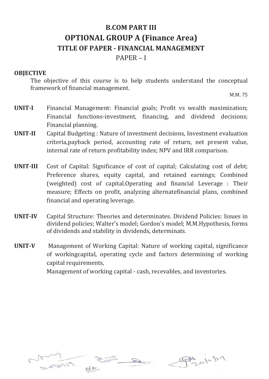# **B.COM PART III OPTIONAL GROUP A (Finance Area) TITLE OF PAPER - FINANCIAL MANAGEMENT**

PAPER – I

## **OBJECTIVE**

The objective of this course is to help students understand the conceptual framework of financial management.

M.M. 75

- **UNIT-I** Financial Management: Financial goals; Profit vs wealth maximization; Financial functions-investment, financing, and dividend decisions; Financial planning.
- **UNIT-II** Capital Budgeting : Nature of investment decisions, Investment evaluation criteria,payback period, accounting rate of return, net present value, internal rate of return profitability index; NPV and IRR comparison.
- **UNIT-III** Cost of Capital: Significance of cost of capital; Calculating cost of debt; Preference shares, equity capital, and retained earnings; Combined (weighted) cost of capital.Operating and financial Leverage : Their measure; Effects on profit, analyzing alternatefinancial plans, combined financial and operating leverage.
- **UNIT-IV** Capital Structure: Theories and determinates. Dividend Policies: Issues in dividend policies; Walter's model; Gordon's model; M.M.Hypothesis, forms of dividends and stability in dividends, determinats.
- **UNIT-V** Management of Working Capital: Nature of working capital, significance of workingcapital, operating cycle and factors determining of working capital requirements,

Management of working capital - cash, recevables, and inventories.



PAR OKSIA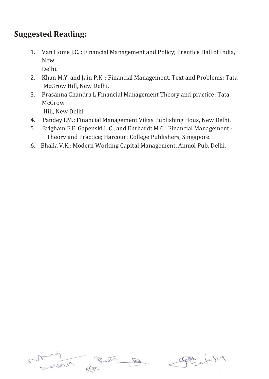# **Suggested Reading:**

1. Van Home J.C. : Financial Management and Policy; Prentice Hall of India, New

Delhi.

- 2. Khan M.Y. and Jain P.K. : Financial Management, Text and Problems; Tata McGrow Hill, New Delhi.
- 3. Prasanna Chandra L Financial Management Theory and practice; Tata McGrow

Hill, New Delhi.

- 4. Pandey I.M.: Financial Management Vikas Publishing Hous, New Delhi.
- 5. Brigham E.F. Gapenski L.C., and Ehrhardt M.C.: Financial Management Theory and Practice; Harcourt College Publishers, Singapore.
- 6. Bhalla V.K.: Modern Working Capital Management, Anmol Pub. Delhi.



FAM DICSI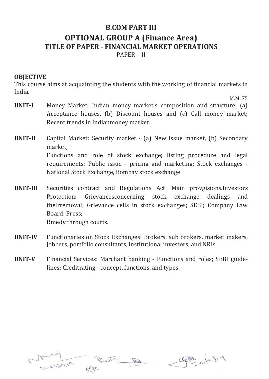# **B.COM PART III OPTIONAL GROUP A (Finance Area) TITLE OF PAPER - FINANCIAL MARKET OPERATIONS** PAPER – II

## **OBJECTIVE**

This course aims at acquainting the students with the working of financial markets in India.

M.M. 75

- **UNIT-I** Money Market: Indian money market's composition and structure; (a) Acceptance houses, (b) Discount houses and (c) Call money market; Recent trends in Indianmoney market.
- **UNIT-II** Capital Market: Security market (a) New issue market, (b) Secondary market; Functions and role of stock exchange; listing procedure and legal requirements; Public issue - pricing and marketing; Stock exchanges - National Stock Exchange, Bombay stock exchange
- **UNIT-III** Securities contract and Regulations Act: Main provgisions.Investors Protection: Grievancesconcerning stock exchange dealings and theirremoval; Grievance cells in stock exchanges; SEBI; Company Law Board; Press; Rmedy through courts.
- **UNIT-IV** Functionaries on Stock Exchanges: Brokers, sub brokers, market makers, jobbers, portfolio consultants, institutional investors, and NRIs.
- **UNIT-V** Financial Services: Marchant banking Functions and roles; SEBI guidelines; Creditrating - concept, functions, and types.



熱のにらっ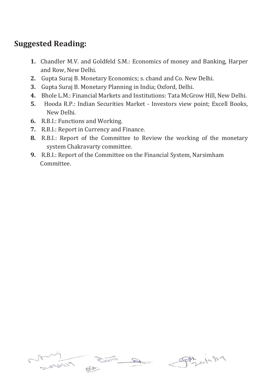- **1.** Chandler M.V. and Goldfeld S.M.: Economics of money and Banking, Harper and Row, New Delhi.
- **2.** Gupta Suraj B. Monetary Economics; s. chand and Co. New Delhi.
- **3.** Gupta Suraj B. Monetary Planning in India; Oxford, Delhi.
- **4.** Bhole L.M.: Financial Markets and Institutions: Tata McGrow Hill, New Delhi.
- **5.** Hooda R.P.: Indian Securities Market Investors view point; Excell Books, New Delhi.
- **6.** R.B.I.: Functions and Working.
- **7.** R.B.I.: Report in Currency and Finance.
- **8.** R.B.I.: Report of the Committee to Review the working of the monetary system Chakravarty committee.
- **9.** R.B.I.: Report of the Committee on the Financial System, Narsimham Committee.



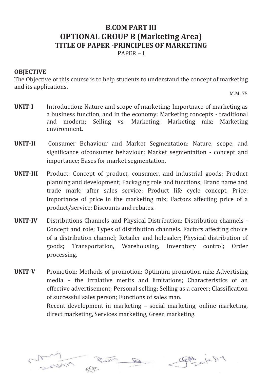## **B.COM PART III OPTIONAL GROUP B (Marketing Area) TITLE OF PAPER -PRINCIPLES OF MARKETING** PAPER – I

## **OBJECTIVE**

The Objective of this course is to help students to understand the concept of marketing and its applications.

M.M. 75

- **UNIT-I** Introduction: Nature and scope of marketing; Importnace of marketing as a business function, and in the economy; Marketing concepts - traditional and modern; Selling vs. Marketing; Marketing mix; Marketing environment.
- **UNIT-II** Consumer Behaviour and Market Segmentation: Nature, scope, and significance ofconsumer behaviour; Market segmentation - concept and importance; Bases for market segmentation.
- **UNIT-III** Product: Concept of product, consumer, and industrial goods; Product planning and development; Packaging role and functions; Brand name and trade mark; after sales service; Product life cycle concept. Price: Importance of price in the marketing mix; Factors affecting price of a product/service; Discounts and rebates.
- **UNIT-IV** Distributions Channels and Physical Distribution; Distribution channels Concept and role; Types of distribution channels. Factors affecting choice of a distribution channel; Retailer and holesaler; Physical distribution of goods; Transportation, Warehousing, Inverntory control; Order processing.
- **UNIT-V** Promotion: Methods of promotion; Optimum promotion mix; Advertising media – the irralative merits and limitations; Characteristics of an effective advertisement; Personal selling; Selling as a career; Classification of successful sales person; Functions of sales man.

Recent development in marketing – social marketing, online marketing, direct marketing, Services marketing, Green marketing.

Angless

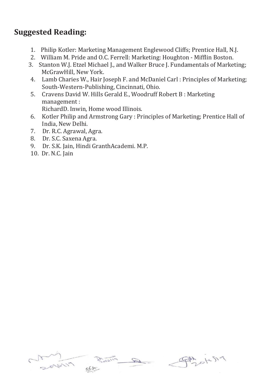# **Suggested Reading:**

- 1. Philip Kotler: Marketing Management Englewood Cliffs; Prentice Hall, N.J.
- 2. William M. Pride and O.C. Ferrell: Marketing: Houghton Mifflin Boston.
- 3. Stanton W.J. Etzel Michael J., and Walker Bruce J. Fundamentals of Marketing; McGrawHill, New York.
- 4. Lamb Charies W., Hair Joseph F. and McDaniel Carl : Principles of Marketing; South-Western-Publishing, Cincinnati, Ohio.
- 5. Cravens David W. Hills Gerald E., Woodruff Robert B : Marketing management :

RichardD. Inwin, Home wood Illinois.

- 6. Kotler Philip and Armstrong Gary : Principles of Marketing; Prentice Hall of India, New Delhi.
- 7. Dr. R.C. Agrawal, Agra.
- 8. Dr. S.C. Saxena Agra.
- 9. Dr. S.K. Jain, Hindi GranthAcademi. M.P.
- 10. Dr. N.C. Jain



PAA OKS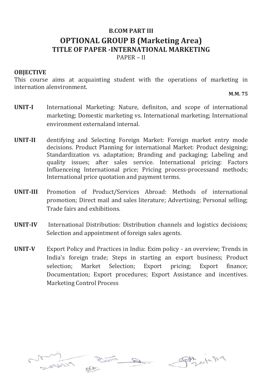# **B.COM PART III OPTIONAL GROUP B (Marketing Area) TITLE OF PAPER -INTERNATIONAL MARKETING**

PAPER – II

## **OBJECTIVE**

This course aims at acquainting student with the operations of marketing in internation alenvironment.

**M.M. 75**

- **UNIT-I** International Marketing: Nature, definiton, and scope of international marketing; Domestic marketing vs. International marketing; International environment externaland internal.
- **UNIT-II** dentifying and Selecting Foreign Market: Foreign market entry mode decisions. Product Planning for international Market: Product designing; Standardization vs. adaptation; Branding and packaging; Labeling and quality issues; after sales service. International pricing: Factors Influenceing International price; Pricing process-processand methods; International price quotation and payment terms.
- **UNIT-III** Promotion of Product/Services Abroad: Methods of international promotion; Direct mail and sales literature; Advertising; Personal selling; Trade fairs and exhibitions.
- **UNIT-IV** International Distribution: Distribution channels and logistics decisions; Selection and appointment of foreign sales agents.
- **UNIT-V** Export Policy and Practices in India: Exim policy an overview; Trends in India's foreign trade; Steps in starting an export business; Product selection; Market Selection; Export pricing; Export finance; Documentation; Export procedures; Export Assistance and incentives. Marketing Control Process





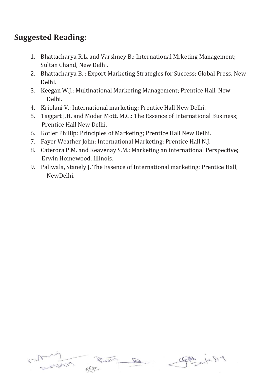- 1. Bhattacharya R.L. and Varshney B.: International Mrketing Management; Sultan Chand, New Delhi.
- 2. Bhattacharya B. : Export Marketing Strategles for Success; Global Press, New Delhi.
- 3. Keegan W.J.: Multinational Marketing Management; Prentice Hall, New Delhi.
- 4. Kriplani V.: International marketing; Prentice Hall New Delhi.
- 5. Taggart J.H. and Moder Mott. M.C.: The Essence of International Business; Prentice Hall New Delhi.
- 6. Kotler Phillip: Principles of Marketing; Prentice Hall New Delhi.
- 7. Fayer Weather John: International Marketing; Prentice Hall N.J.
- 8. Caterora P.M. and Keavenay S.M.: Marketing an international Perspective; Erwin Homewood, Illinois.
- 9. Paliwala, Stanely J. The Essence of International marketing; Prentice Hall, NewDelhi.



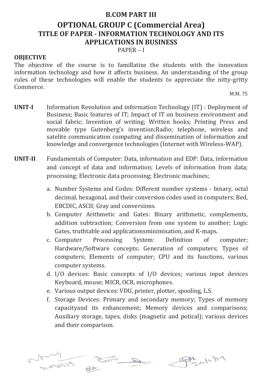## **B.COM PART III**

# **OPTIONAL GROUP C (Commercial Area) TITLE OF PAPER - INFORMATION TECHNOLOGY AND ITS APPLICATIONS IN BUSINESS**

PAPER – I

## **OBJECTIVE**

The objective of the course is to famillatize the students with the innovation information technology and how it affects business. An understanding of the group rules of these technologies will enable the students to appreciate the nitty-gritty Commerce.

M.M. 75

- **UNIT-I** Information Revolution and information Technology (IT) : Deployment of Business; Basic features of IT; Impact of IT on business environment and social fabric; Invention of writing; Written books; Printing Press and movable type Gutenberg's invention;Radio; telephone, wireless and satelite communication computing and dissemination of information and knowledge and convergence technologies (Internet with Wireless-WAP).
- **UNIT-II** Fundamentals of Computer: Data, information and EDP: Data, information and concept of data and information; Levels of information from data; processing; Electronic data processing; Electronic machines;
	- a. Number Systems and Codes: Different number systems binary, octal decimal, hexagonal, and their conversion codes used in computers; Bed, EBCDIC, ASCII; Gray and conversions.
	- b. Computer Arithmetic and Gates: Binary arithmetic, complements, addition subtraction; Conversion from one system to another; Logic Gates, truthtable and applicationsminimisation, and K-maps.
	- c. Computer Processing System: Definition of computer; Hardware/Software concepts; Generation of computers; Types of computers; Elements of computer; CPU and its functions, various computer systems.
	- d. I/O devices: Basic concepts of I/O devices; various input devices Keyboard, mouse; MICR, OCR, microphones.
	- e. Various output devices: VDU, printer, plotter, spooling, L.S.
	- f. Storage Devices: Primary and secondary memory; Types of memory capacityand its enhancement; Memory devices and comparisons; Auxiliary storage, tapes, disks (magnetic and potical); various devices and their comparison.

PAR desig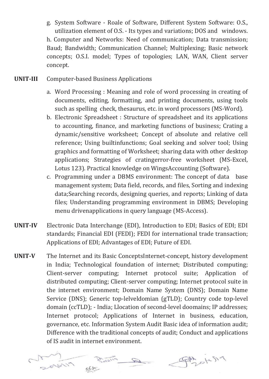g. System Software - Roale of Software, Different System Software: O.S., utilization element of O.S. - Its types and variations; DOS and windows. h. Computer and Networks: Need of communication; Data transmission; Baud; Bandwidth; Communication Channel; Multiplexing; Basic network concepts; O.S.I. model; Types of topologies; LAN, WAN, Client server concept.

- **UNIT-III** Computer-based Business Applications
	- a. Word Processing : Meaning and role of word processing in creating of documents, editing, formatting, and printing documents, using tools such as spelling check, thesaurus, etc. in word processors (MS-Word).
	- b. Electronic Spreadsheet : Structure of spreadsheet and its applications to accounting, finance, and marketing functions of business; Crating a dynamic/sensitive worksheet; Concept of absolute and relative cell reference; Using builtinfunctions; Goal seeking and solver tool; Using graphics and formatting of Worksheet; sharing data with other desktop applications; Strategies of cratingerror-free worksheet (MS-Excel, Lotus 123). Practical knowledge on WingsAccounting (Software).
	- c. Programming under a DBMS environment: The concept of data base management system; Data field, records, and files, Sorting and indexing data;Searching records, designing queries, and reports; Linking of data files; Understanding programming environment in DBMS; Developing menu drivenapplications in query language (MS-Access).
- **UNIT-IV** Electronic Data Interchange (EDI), Introduction to EDI; Basics of EDI; EDI standards; Financial EDI (FEDI); FEDI for international trade transaction; Applications of EDI; Advantages of EDI; Future of EDI.
- **UNIT-V** The Internet and its Basic ConceptsInternet-concept, history development in India; Technological foundation of internet; Distributed computing; Client-server computing; Internet protocol suite; Application of distributed computing; Client-server computing; Internet protocol suite in the internet environment; Domain Name System (DNS); Domain Name Service (DNS); Generic top-lelveldomian (gTLD); Country code top-level domain (ccTLD); - India; Llocation of second-level doomains; IP addresses; Internet protocol; Applications of Internet in business, education, governance, etc. Information System Audit Basic idea of information audit; Difference with the traditional concepts of audit; Conduct and applications of IS audit in internet environment.

PAZOKS19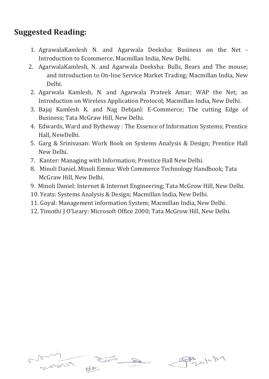- 1. AgrawalaKamlesh N. and Agarwala Deeksha: Business on the Net Introduction to Ecommerce, Macmillan India, New Delhi.
- 2. AgarwalaKamlesh, N. and Agarwala Deeksha: Bulls, Bears and The mouse; and introduction to On-line Service Market Trading; Macmillan India, New Delhi.
- 2. Agarwala Kamlesh, N. and Agarwala Prateek Amar; WAP the Net; an Introduction on Wireless Application Protocol; Macmillan India, New Delhi.
- 3. Bajaj Kamlesh K. and Nag Debjanl: E-Commerce; The cutting Edge of Business; Tata McGraw Hill, New Delhi.
- 4. Edwards, Ward and Bytheway : The Essence of Information Systems; Prentice Hall, NewDelhi.
- 5. Garg & Srinivasan: Work Book on Systems Analysis & Design; Prentice Hall New Delhi.
- 7. Kanter: Managing with Information; Prentice Hall New Delhi.
- 8. Minoli Daniel, Minoli Emma: Web Commerce Technology Handbook; Tata McGraw Hill, New Delhi.
- 9. Minoli Daniel: Internet & Internet Engineering; Tata McGrow Hill, New Delhi.
- 10. Yeats: Systems Analysis & Design; Macmillan India, New Delhi.
- 11. Goyal: Management information System; Macmillan India, New Delhi.
- 12. Timothi J O'Leary: Microsoft Office 2000; Tata McGrow Hill, New Delhi.



PAS OKSIN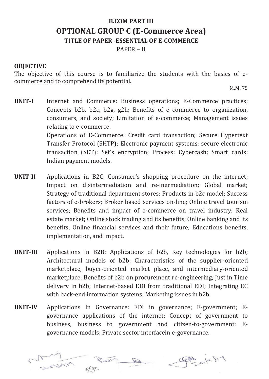# **B.COM PART III OPTIONAL GROUP C (E-Commerce Area) TITLE OF PAPER -ESSENTIAL OF E-COMMERCE**

PAPER – II

## **OBJECTIVE**

The objective of this course is to familiarize the students with the basics of ecommerce and to comprehend its potential.

M.M. 75

- **UNIT-I** Internet and Commerce: Business operations; E-Commerce practices; Concepts b2b, b2c, b2g, g2h; Benefits of e commerce to organization, consumers, and society; Limitation of e-commerce; Management issues relating to e-commerce. Operations of E-Commerce: Credit card transaction; Secure Hypertext Transfer Protocol (SHTP); Electronic payment systems; secure electronic transaction (SET); Set's encryption; Process; Cybercash; Smart cards; Indian payment models.
- **UNIT-II** Applications in B2C: Consumer's shopping procedure on the internet; Impact on disintermediation and re-inermediation; Global market; Strategy of traditional department stores; Products in b2c model; Success factors of e-brokers; Broker based services on-line; Online travel tourism services; Benefits and impact of e-commerce on travel industry; Real estate market; Online stock trading and its benefits; Online banking and its benefits; Online financial services and their future; Educations benefits, implementation, and impact.
- **UNIT-III** Applications in B2B; Applications of b2b, Key technologies for b2b; Architectural models of b2b; Characteristics of the supplier-oriented marketplace, buyer-oriented market place, and intermediary-oriented marketplace; Benefits of b2b on procurement re-engineering; Just in Time delivery in b2b; Internet-based EDI from traditional EDI; Integrating EC with back-end information systems; Marketing issues in b2b.
- **UNIT-IV** Applications in Governance: EDI in governance; E-government; Egovernance applications of the internet; Concept of government to business, business to government and citizen-to-government; Egovernance models; Private sector interfacein e-governance.

PAZOLUSI9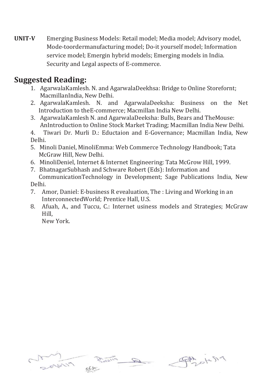**UNIT-V** Emerging Business Models: Retail model; Media model; Advisory model, Mode-toordermanufacturing model; Do-it yourself model; Information service model; Emergin hybrid models; Emerging models in India. Security and Legal aspects of E-commerce.

# **Suggested Reading:**

- 1. AgarwalaKamlesh. N. and AgarwalaDeekhsa: Bridge to Online Storefornt; MacmillanIndia, New Delhi.
- 2. AgarwalaKamlesh. N. and AgarwalaDeeksha: Business on the Net Introduction to theE-commerce; Macmillan India New Delhi.
- 3. AgarwalaKamlesh N. and AgarwalaDeeksha: Bulls, Bears and TheMouse: AnIntroduction to Online Stock Market Trading; Macmillan India New Delhi.

4. Tiwari Dr. Murli D.: Eductaion and E-Governance; Macmillan India, New Delhi.

- 5. Minoli Daniel, MinoliEmma: Web Commerce Technology Handbook; Tata McGraw Hill, New Delhi.
- 6. MinoliDeniel, Internet & Internet Engineering: Tata McGrow Hill, 1999.
- 7. BhatnagarSubhash and Schware Robert (Eds): Information and CommunicationTechnology in Development; Sage Publications India, New Delhi.
- 7. Amor, Daniel: E-business R evealuation, The : Living and Working in an InterconnectedWorld; Prentice Hall, U.S.
- 8. Afuah, A., and Tuccu, C.: Internet usiness models and Strategies; McGraw Hill,

New York.



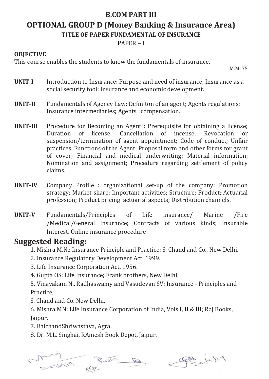# **B.COM PART III OPTIONAL GROUP D (Money Banking & Insurance Area) TITLE OF PAPER FUNDAMENTAL OF INSURANCE**

PAPER – I

## **OBJECTIVE**

This course enables the students to know the fundamentals of insurance.

M.M. 75

- **UNIT-I** Introduction to Insurance: Purpose and need of insurance; Insurance as a social security tool; Insurance and economic development.
- **UNIT-II** Fundamentals of Agency Law: Definiton of an agent; Agents regulations; Insurance intermediaries; Agents compensation.
- **UNIT-III** Procedure for Becoming an Agent : Prerequisite for obtaining a license; Duration of license; Cancellation of incense; Revocation or suspension/termination of agent appointment; Code of conduct; Unfair practices. Functions of the Agent: Proposal form and other forms for grant of cover; Financial and medical underwriting; Material information; Nomination and assignment; Procedure regarding settlement of policy claims.
- **UNIT-IV** Company Profile : organizational set-up of the company; Promotion strategy; Market share; Important activities; Structure; Product; Actuarial profession; Product pricing actuarial aspects; Distribution channels.
- **UNIT-V** Fundamentals/Principles of Life insurance/ Marine /Fire /Medical/General Insurance; Contracts of various kinds; Insurable Interest. Online insurance procedure

# **Suggested Reading:**

- 1. Mishra M.N.: Insurance Principle and Practice; S. Chand and Co., New Delhi.
- 2. Insurance Regulatory Development Act. 1999.
- 3. Life Insurance Corporation Act. 1956.
- 4. Gupta OS: Life Insurance; Frank brothers, New Delhi.

5. Vinayakam N., Radhaswamy and Vasudevan SV: Insurance - Principles and Practice,

S. Chand and Co. New Delhi.

6. Mishra MN: Life Insurance Corporation of India, Vols I, II & III; Raj Books, Jaipur.

- 7. BalchandShriwastava, Agra.
- 8. Dr. M.L. Singhai, RAmesh Book Depot, Jaipur.



Physich9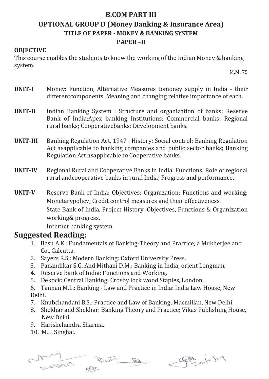# **B.COM PART III OPTIONAL GROUP D (Money Banking & Insurance Area) TITLE OF PAPER - MONEY & BANKING SYSTEM PAPER –II**

## **OBJECTIVE**

This course enables the students to know the working of the Indian Money & banking system.

M.M. 75

- **UNIT-I** Money: Function, Alternative Measures tomoney supply in India their differentcomponents. Meaning and changing relative importance of each.
- **UNIT-II** Indian Banking System : Structure and organization of banks; Reserve Bank of India;Apex banking Institutions; Commercial banks; Regional rural banks; Cooperativebanks; Development banks.
- **UNIT-III** Banking Regulation Act, 1947 : History; Social control; Banking Regulation Act asapplicable to banking companies and public sector banks; Banking Regulation Act asapplicable to Cooperative banks.
- **UNIT-IV** Regional Rural and Cooperative Banks in India: Functions; Role of regional rural andcooperative banks in rural India; Progress and performance.
- **UNIT-V** Reserve Bank of India: Objectives; Organization; Functions and working; Monetarypolicy; Credit control measures and their effectiveness. State Bank of India, Project History, Objectives, Functions & Organization working& progress.

Internet banking system

- 1. Basu A.K.: Fundamentals of Banking-Theory and Practice; a Mukherjee and Co., Calcutta.
- 2. Sayers R.S.: Modern Banking: Oxford University Press.
- 3. Panandikar S.G. And Mithani D.M.: Banking in India; orient Longman.
- 4. Reserve Bank of India: Functions and Working.
- 5. Dekock: Central Banking; Crosby lock wood Staples, London.
- 6. Tannan M.L.: Banking Law and Practice in India: India Law House, New Delhi.
- 7. Knubchandani B.S.: Practice and Law of Banking; Macmillan, New Delhi.
- 8. Shekhar and Shekhar: Banking Theory and Practice; Vikas Publishing House, New Delhi.
- 9. Harishchandra Sharma.
- 10. M.L. Singhai.

Physicha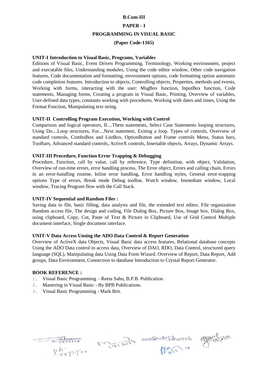## **B.Com-III**

## **PAPER - I**

#### **PROGRAMMING IN VISUAL BASIC**

## **(Paper Code-1165)**

## **UNIT-I Introduction to Visual Basic, Programs, Variables**

Editions of Visual Basic, Event Driven Programming, Terminology, Working environment, project and executable files, Understanding modules, Using the code editor window, Other code navigation features, Code documentation and formatting, environment options, code formatting option automatic code completion features. Introduction to objects, Controlling objects, Properties, methods and events, Working with forms, interacting with the user: MsgBox function, InputBox function, Code statements, Managing forms, Creating a program in Visual Basic, Printing, Overview of variables, User-defined data types, constants working with procedures, Working with dates and times, Using the Format Function, Manipulating text string.

## **UNIT-II Controlling Program Execution, Working with Control**

Comparison and logical operators, If....Them statements, Select Case Statements looping structures, Using Do....Loop structures, For....Next statement, Exiting a loop. Types of controls, Overview of standard controls, ComboBox and ListBox, OptionButton and Frame controls Menu, Status bars, Toolbars, Advanced standard controls, ActiveX controls, Insertable objects, Arrays, Dynamic Arrays.

## **UNIT-III Procedure, Function Error Trapping & Debugging**

Procedure, Function, call by value, call by reference, Type definition, with object, Validation, Overview of run-time errors, error handling process, The Error object, Errors and calling chain, Errors in an error-handling routine, Inline error handling, Error handling styles, General error-trapping options Type of errors, Break mode Debug toolbar, Watch window, Immediate window, Local window, Tracing Program flow with the Call Stack.

## **UNIT-IV Sequential and Random Files :**

Saving data to file, basic filling, data analysis and file, the extended text editor, File organization Random access file, The design and coding, File Dialog Box, Picture Box, Image box, Dialog Box, using clipboard, Copy, Cut, Paste of Text & Picture in Clipboard, Use of Grid Control Multiple document interface, Single document interface.

## **UNIT-V Data Access Unsing the ADO Data Control & Report Generation**

Overview of ActiveX data Objects, Visual Basic data access features, Relational database concepts Using the ADO Data control to access data, Overview of DAO, RDO, Data Control, structured query language (SQL), Manipulating data Using Data Form Wizard. Overview of Report, Data Report, Add groups, Data Environment, Connection to database Introduction to Crystal Report Generator.

## **BOOK REFERENCE :**

- 1. Visual Basic Programming Reeta Sahu, B.P.B. Publication.
- 2. Mastering in Visual Basic By BPB Publications.
- 3. Visual Basic Programming Mark Brit.

Philippy Mille Mile 19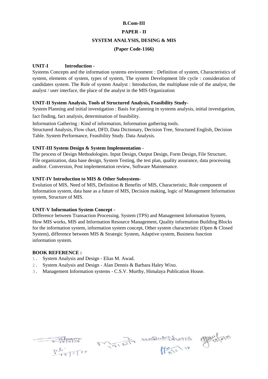## **B.Com-III**

## **PAPER - II**

#### **SYSTEM ANALYSIS, DESING & MIS**

## **(Paper Code-1166)**

## **UNIT-I Introduction -**

Systems Concepts and the information systems environment : Definition of system, Characteristics of system, elements of system, types of system, The system Development life cycle : consideration of candidates system. The Role of system Analyst : Introduction, the multiphase role of the analyst, the analyst / user interface, the place of the analyst in the MIS Organization

## **UNIT-II System Analysis, Tools of Structured Analysis, Feasibility Study-**

System Planning and initial investigation : Basis for planning in systems analysis, initial investigation, fact finding, fact analysis, determination of feasibility.

Information Gathering : Kind of information, Information gathering tools. Structured Analysis, Flow chart, DFD, Data Dictionary, Decision Tree, Structured English, Decision Table. System Performance, Feasibility Study. Data Analysis.

## **UNIT-III System Design & System Implementation -**

The process of Design Methodologies. Input Design, Output Design, Form Design, File Structure, File organization, data base design, System Testing, the test plan, quality assurance, data processing auditor. Conversion, Post implementation review, Software Maintenance.

## **UNIT-IV Introduction to MIS & Other Subsystem-**

Evolution of MIS, Need of MIS, Definition & Benefits of MIS, Characteristic, Role component of Information system, data base as a future of MIS, Decision making, logic of Management Information system, Structure of MIS.

## **UNIT-V Information System Concept -**

Difference between Transaction Processing. System (TPS) and Management Information System, How MIS works, MIS and Information Resource Management, Quality information Building Blocks for the information system, information system concept, Other system characteristic (Open & Closed System), difference between MIS & Strategic System, Adaptive system, Business function information system.

## **BOOK REFERENCE :**

- 1. System Analysis and Design Elias M. Awad.
- 2. System Analysis and Design Alan Dennis & Barbara Haley Wixo.
- 3. Management Information systems C.S.V. Murthy, Himalaya Publication House.

Philippine Millet Hill 19